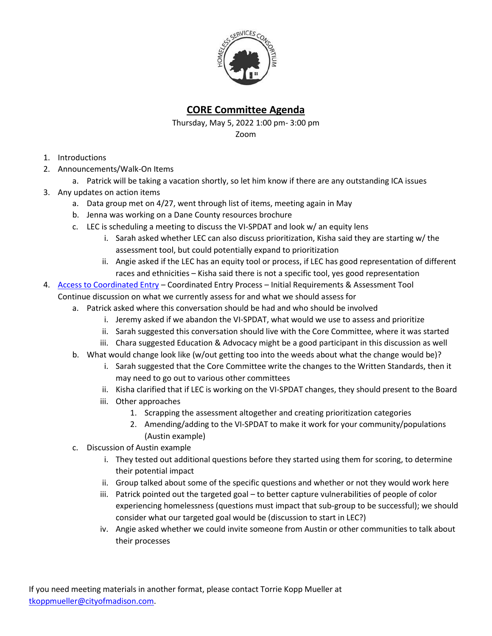

## **CORE Committee Agenda**

Thursday, May 5, 2022 1:00 pm- 3:00 pm Zoom

- 1. Introductions
- 2. Announcements/Walk-On Items
	- a. Patrick will be taking a vacation shortly, so let him know if there are any outstanding ICA issues
- 3. Any updates on action items
	- a. Data group met on 4/27, went through list of items, meeting again in May
	- b. Jenna was working on a Dane County resources brochure
	- c. LEC is scheduling a meeting to discuss the VI-SPDAT and look w/ an equity lens
		- i. Sarah asked whether LEC can also discuss prioritization, Kisha said they are starting w/ the assessment tool, but could potentially expand to prioritization
		- ii. Angie asked if the LEC has an equity tool or process, if LEC has good representation of different races and ethnicities – Kisha said there is not a specific tool, yes good representation
- 4. [Access to Coordinated Entry](https://endhomelessness.org/wp-content/uploads/2020/06/NAEH-CE-Processes-Racial-Disparities-Flowchart-FINAL.pdf) Coordinated Entry Process Initial Requirements & Assessment Tool Continue discussion on what we currently assess for and what we should assess for
	- a. Patrick asked where this conversation should be had and who should be involved
		- i. Jeremy asked if we abandon the VI-SPDAT, what would we use to assess and prioritize
		- ii. Sarah suggested this conversation should live with the Core Committee, where it was started
		- iii. Chara suggested Education & Advocacy might be a good participant in this discussion as well
	- b. What would change look like (w/out getting too into the weeds about what the change would be)?
		- i. Sarah suggested that the Core Committee write the changes to the Written Standards, then it may need to go out to various other committees
		- ii. Kisha clarified that if LEC is working on the VI-SPDAT changes, they should present to the Board
		- iii. Other approaches
			- 1. Scrapping the assessment altogether and creating prioritization categories
			- 2. Amending/adding to the VI-SPDAT to make it work for your community/populations (Austin example)
	- c. Discussion of Austin example
		- i. They tested out additional questions before they started using them for scoring, to determine their potential impact
		- ii. Group talked about some of the specific questions and whether or not they would work here
		- iii. Patrick pointed out the targeted goal to better capture vulnerabilities of people of color experiencing homelessness (questions must impact that sub-group to be successful); we should consider what our targeted goal would be (discussion to start in LEC?)
		- iv. Angie asked whether we could invite someone from Austin or other communities to talk about their processes